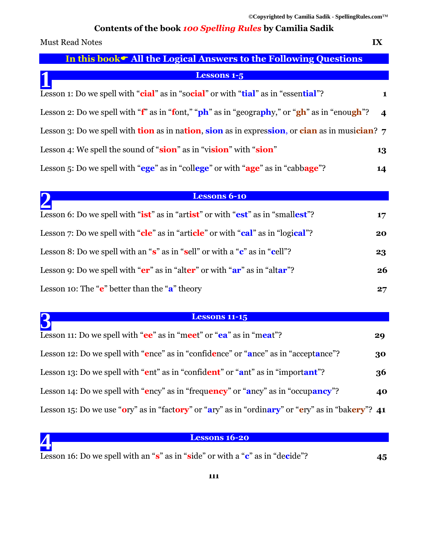# **Contents of the book** *100 Spelling Rules* **by Camilia Sadik**

| <b>Must Read Notes</b>                                                                                  | IX |
|---------------------------------------------------------------------------------------------------------|----|
| In this book • All the Logical Answers to the Following Questions                                       |    |
| <b>Lessons 1-5</b>                                                                                      |    |
| Lesson 1: Do we spell with "cial" as in "social" or with "tial" as in "essential"?                      | 1  |
| Lesson 2: Do we spell with " $f$ " as in "font," "ph" as in "geography," or "gh" as in "enough"?        | 4  |
| Lesson 3: Do we spell with <b>tion</b> as in nation, sion as in expression, or cian as in musician? $7$ |    |
| Lesson 4: We spell the sound of "sion" as in "vision" with "sion"                                       | 13 |
| Lesson 5: Do we spell with "ege" as in "college" or with "age" as in "cabbage"?                         | 14 |
|                                                                                                         |    |
| <b>Lessons 6-10</b>                                                                                     |    |
| Lesson 6: Do we spell with " <b>ist</b> " as in "artist" or with "est" as in "smallest"?                | 17 |
| Lesson 7: Do we spell with "cle" as in "article" or with "cal" as in "logical"?                         | 20 |

| Lesson 8: Do we spell with an " $s$ " as in "sell" or with a " $c$ " as in "cell"? | 23 |
|------------------------------------------------------------------------------------|----|
| Lesson 9: Do we spell with " $er$ " as in "alter" or with " $ar$ " as in "altar"?  | 26 |
| Lesson 10: The " $e$ " better than the " $a$ " theory                              | 27 |

### **Lessons 11-15**

| <b>Lessons 11-15</b>                                                                             |    |
|--------------------------------------------------------------------------------------------------|----|
| Lesson 11: Do we spell with "ee" as in "meet" or "ea" as in "meat"?                              | 29 |
| Lesson 12: Do we spell with "ence" as in "confidence" or "ance" as in "acceptance"?              | 30 |
| Lesson 13: Do we spell with "ent" as in "confident" or "ant" as in "important"?                  | 36 |
| Lesson 14: Do we spell with "ency" as in "frequency" or "ancy" as in "occupancy"?                | 40 |
| Lesson 15: Do we use "ory" as in "factory" or "ary" as in "ordinary" or "ery" as in "bakery"? 41 |    |

### **Lessons 16-20**

| Lesson 16: Do we spell with an "s" as in "side" or with a "c" as in "decide"? | 45 |
|-------------------------------------------------------------------------------|----|

**4**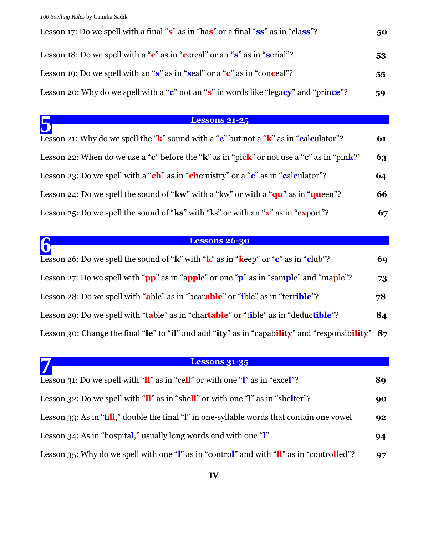**5**

**7**

| Lesson 17: Do we spell with a final "s" as in "has" or a final "ss" as in "class"?    | 50 |
|---------------------------------------------------------------------------------------|----|
| Lesson 18: Do we spell with a " $c$ " as in "cereal" or an " $s$ " as in "serial"?    | 53 |
| Lesson 19: Do we spell with an " $s$ " as in "seal" or a " $c$ " as in "conceal"?     | 55 |
| Lesson 20: Why do we spell with a "c" not an "s" in words like "legacy" and "prince"? | 59 |

# **Lessons 21-25**

| Lesson 21: Why do we spell the " $k$ " sound with a "c" but not a " $k$ " as in "calculator"?               | 61 |
|-------------------------------------------------------------------------------------------------------------|----|
| Lesson 22: When do we use a "c" before the "k" as in "pick" or not use a "c" as in "pink?"                  | 63 |
| Lesson 23: Do we spell with a "ch" as in "chemistry" or a "c" as in "calculator"?                           | 64 |
| Lesson 24: Do we spell the sound of " $kw$ " with a " $kw$ " or with a " $qu$ " as in " $queen$ "?          | 66 |
| Lesson 25: Do we spell the sound of " $\mathbf{ks}$ " with "ks" or with an " $\mathbf{x}$ " as in "export"? | 67 |

### **Lessons 26-30**

| <b>Lessons 26-30</b>                                                                               |    |
|----------------------------------------------------------------------------------------------------|----|
| Lesson 26: Do we spell the sound of " $k$ " with " $k$ " as in " $k$ eep" or " $c$ " as in "club"? | 69 |
| Lesson 27: Do we spell with "pp" as in "apple" or one "p" as in "sample" and "maple"?              | 73 |
| Lesson 28: Do we spell with "able" as in "bearable" or "ible" as in "terrible"?                    | 78 |
| Lesson 29: Do we spell with "table" as in "chartable" or "tible" as in "deductible"?               | 84 |
| Lesson 30: Change the final "le" to "il" and add "ity" as in "capability" and "responsibility" 87  |    |

# **Lessons 31-35**

| Lesson 31: Do we spell with " $\mathbf{u}$ " as in "cell" or with one " $\mathbf{l}$ " as in "excel"?                          | 89 |
|--------------------------------------------------------------------------------------------------------------------------------|----|
| Lesson 32: Do we spell with " $\mathbf{I} \mathbf{I}$ " as in "shell" or with one " $\mathbf{I} \mathbf{I}$ " as in "shelter"? | 90 |
| Lesson 33: As in "fill," double the final "l" in one-syllable words that contain one vowel                                     | 92 |
| Lesson 34: As in "hospital," usually long words end with one " $\mathbf{l}$ "                                                  | 94 |
| Lesson 35: Why do we spell with one "I" as in "control" and with "II" as in "controlled"?                                      | 97 |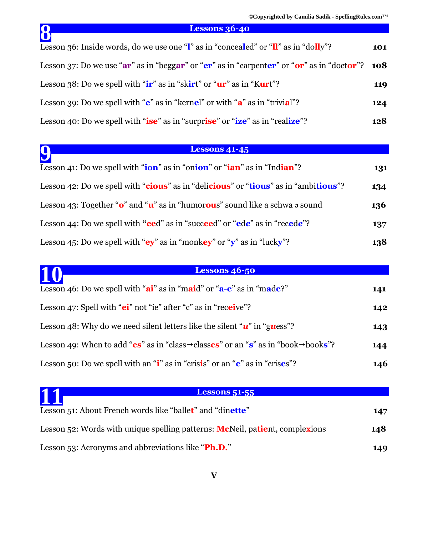# **Lessons 36-40**

| <b>Lessons 36-40</b>                                                                                         |     |
|--------------------------------------------------------------------------------------------------------------|-----|
| Lesson 36: Inside words, do we use one " $\mathbf{l}$ " as in "concealed" or " $\mathbf{l}$ " as in "dolly"? | 101 |
| Lesson 37: Do we use " $ar$ " as in "beggar" or " $er$ " as in "carpenter" or " $or$ " as in "doctor"? 108   |     |
| Lesson 38: Do we spell with " $ir$ " as in "skirt" or " $ur$ " as in "Kurt"?                                 | 119 |
| Lesson 39: Do we spell with " $e$ " as in "kernel" or with " $a$ " as in "trivial"?                          | 124 |
| Lesson 40: Do we spell with "ise" as in "surprise" or "ize" as in "realize"?                                 | 128 |

# **Lessons 41-45**

| <b>Lessons 41-45</b>                                                                                  |     |
|-------------------------------------------------------------------------------------------------------|-----|
| Lesson 41: Do we spell with " <b>ion</b> " as in "onion" or " <b>ian</b> " as in "Indian"?            | 131 |
| Lesson 42: Do we spell with "cious" as in "delicious" or "tious" as in "ambitious"?                   | 134 |
| Lesson 43: Together " $\mathbf{o}$ " and " $\mathbf{u}$ " as in "humorous" sound like a schwa a sound | 136 |
| Lesson 44: Do we spell with "eed" as in "succeed" or "ede" as in "recede"?                            | 137 |
| Lesson 45: Do we spell with " $ey$ " as in "monkey" or "y" as in "lucky"?                             | 138 |

| 10<br><b>Lessons 46-50</b>                                                                                  |     |
|-------------------------------------------------------------------------------------------------------------|-----|
| Lesson 46: Do we spell with " $ai$ " as in "maid" or " $a-e$ " as in "made?"                                | 141 |
| Lesson 47: Spell with "ei" not "ie" after "c" as in "receive"?                                              | 142 |
| Lesson 48: Why do we need silent letters like the silent " $u$ " in "guess"?                                | 143 |
| Lesson 49: When to add "es" as in "class $\rightarrow$ classes" or an "s" as in "book $\rightarrow$ books"? | 144 |
| Lesson 50: Do we spell with an " $\mathbf{i}$ " as in "crisis" or an " $\mathbf{e}$ " as in "crises"?       | 146 |

| 1<br><b>Lessons 51-55</b>                                                            |     |
|--------------------------------------------------------------------------------------|-----|
| Lesson 51: About French words like "ballet" and "dinette"                            | 147 |
| Lesson 52: Words with unique spelling patterns: <b>Mc</b> Neil, patient, complexions | 148 |
| Lesson 53: Acronyms and abbreviations like "Ph.D."                                   | 149 |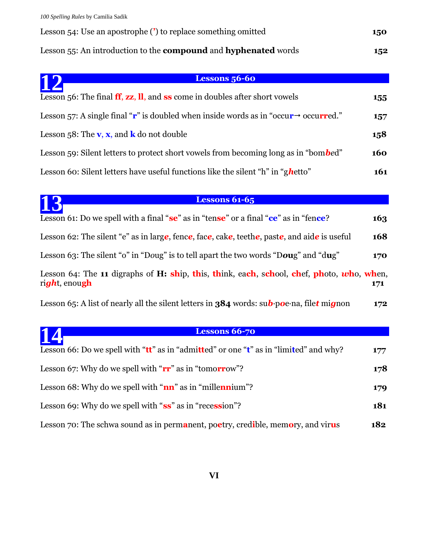Lesson 54: Use an apostrophe (**'**) to replace something omitted **150** Lesson 55: An introduction to the **compound** and **hyphenated** words **152**

| <b>Lessons 56-60</b><br><u>12</u>                                                                                         |     |
|---------------------------------------------------------------------------------------------------------------------------|-----|
| Lesson 56: The final $\mathbf{ff}$ , $\mathbf{zz}$ , $\mathbf{ll}$ , and $\mathbf{ss}$ come in doubles after short vowels | 155 |
| Lesson 57: A single final " $\mathbf{r}$ " is doubled when inside words as in "occur $\rightarrow$ occurred."             | 157 |
| Lesson 58: The $v, x$ , and $k$ do not double                                                                             | 158 |
| Lesson 59: Silent letters to protect short vowels from becoming long as in "bombed"                                       | 160 |
| Lesson 60: Silent letters have useful functions like the silent "h" in "ghetto"                                           | 161 |

| 13<br><b>Lessons 61-65</b>                                                                                              |     |
|-------------------------------------------------------------------------------------------------------------------------|-----|
| Lesson 61: Do we spell with a final "se" as in "tense" or a final "ce" as in "fence?                                    | 163 |
| Lesson 62: The silent "e" as in large, fence, face, cake, teethe, paste, and aide is useful                             | 168 |
| Lesson 63: The silent "o" in "Doug" is to tell apart the two words "Doug" and "dug"                                     | 170 |
| Lesson 64: The 11 digraphs of H: ship, this, think, each, school, chef, photo, who, when,<br>right, enough              | 171 |
| Lesson 65: A list of nearly all the silent letters in <b>384</b> words: $\text{sub-poe} \cdot \text{na}$ , filet mignon | 172 |

# **Lessons 66-70**

| 14<br>Lessons 66-70                                                                           |     |
|-----------------------------------------------------------------------------------------------|-----|
| Lesson 66: Do we spell with " $tt$ " as in "admitted" or one " $t$ " as in "limited" and why? | 177 |
| Lesson 67: Why do we spell with " $rr$ " as in "tomorrow"?                                    | 178 |
| Lesson 68: Why do we spell with " $nn$ " as in "millennium"?                                  | 179 |
| Lesson 69: Why do we spell with "ss" as in "recession"?                                       | 181 |
| Lesson 70: The schwa sound as in permanent, poetry, credible, memory, and virus               | 182 |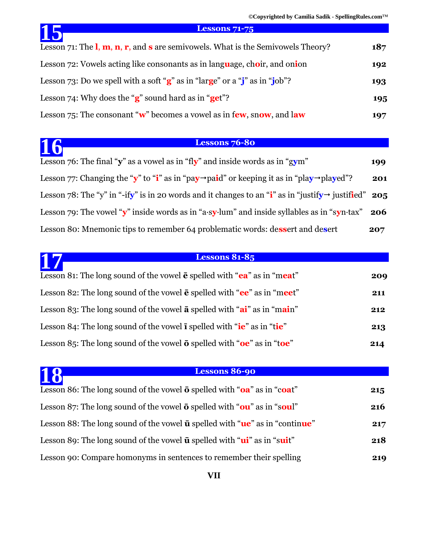**©Copyrighted by Camilia Sadik - SpellingRules.com**™

| 15<br><b>Lessons 71-75</b>                                                                                                        |     |
|-----------------------------------------------------------------------------------------------------------------------------------|-----|
| Lesson 71: The $\mathbf{l}, \mathbf{m}, \mathbf{n}, \mathbf{r}$ , and $\mathbf{s}$ are semivowels. What is the Semivowels Theory? | 187 |
| Lesson 72: Vowels acting like consonants as in language, choir, and onion                                                         | 192 |
| Lesson 73: Do we spell with a soft " $g$ " as in "large" or a "j" as in "job"?                                                    | 193 |
| Lesson 74: Why does the " $g$ " sound hard as in "get"?                                                                           | 195 |
| Lesson 75: The consonant " $w$ " becomes a vowel as in few, snow, and law                                                         | 197 |

### **Lessons 76-80**

| 16<br><b>Lessons 76-80</b>                                                                                         |     |
|--------------------------------------------------------------------------------------------------------------------|-----|
| Lesson 76: The final "y" as a vowel as in "fly" and inside words as in "gym"                                       | 199 |
| Lesson 77: Changing the "y" to "i" as in "pay $\rightarrow$ paid" or keeping it as in "play $\rightarrow$ played"? | 201 |
| Lesson 78: The "y" in "-ify" is in 20 words and it changes to an "i" as in "justify $\rightarrow$ justified" 205   |     |
| Lesson 79: The vowel "y" inside words as in "a-sy-lum" and inside syllables as in "syn-tax"                        | 206 |
| Lesson 80: Mnemonic tips to remember 64 problematic words: dessert and desert                                      | 207 |

### **Lessons 81-85**

| Lesson 81: The long sound of the vowel $\bar{e}$ spelled with " $ea$ " as in "meat"                                  | 209 |
|----------------------------------------------------------------------------------------------------------------------|-----|
| Lesson 82: The long sound of the vowel $\bar{e}$ spelled with " $ee$ " as in "meet"                                  | 211 |
| Lesson 83: The long sound of the vowel $\bar{a}$ spelled with " $\bar{a}$ " as in "main"                             | 212 |
| Lesson 84: The long sound of the vowel $\overline{\mathbf{i}}$ spelled with " $\overline{\mathbf{ie}}$ " as in "tie" | 213 |
| Lesson 85: The long sound of the vowel $\bar{o}$ spelled with " $oe$ " as in "toe"                                   | 214 |

**17**

# **Lessons 86-90**

| Lessons 86-90<br>18                                                                        |     |
|--------------------------------------------------------------------------------------------|-----|
| Lesson 86: The long sound of the vowel $\bar{o}$ spelled with " $oa$ " as in "coat"        | 215 |
| Lesson 87: The long sound of the vowel $\bar{o}$ spelled with " $ou$ " as in "soul"        | 216 |
| Lesson 88: The long sound of the vowel $\bar{u}$ spelled with " $\mu e$ " as in "continue" | 217 |
| Lesson 89: The long sound of the vowel $\bar{u}$ spelled with " $\mu i$ " as in "suit"     | 218 |
| Lesson 90: Compare homonyms in sentences to remember their spelling                        | 219 |